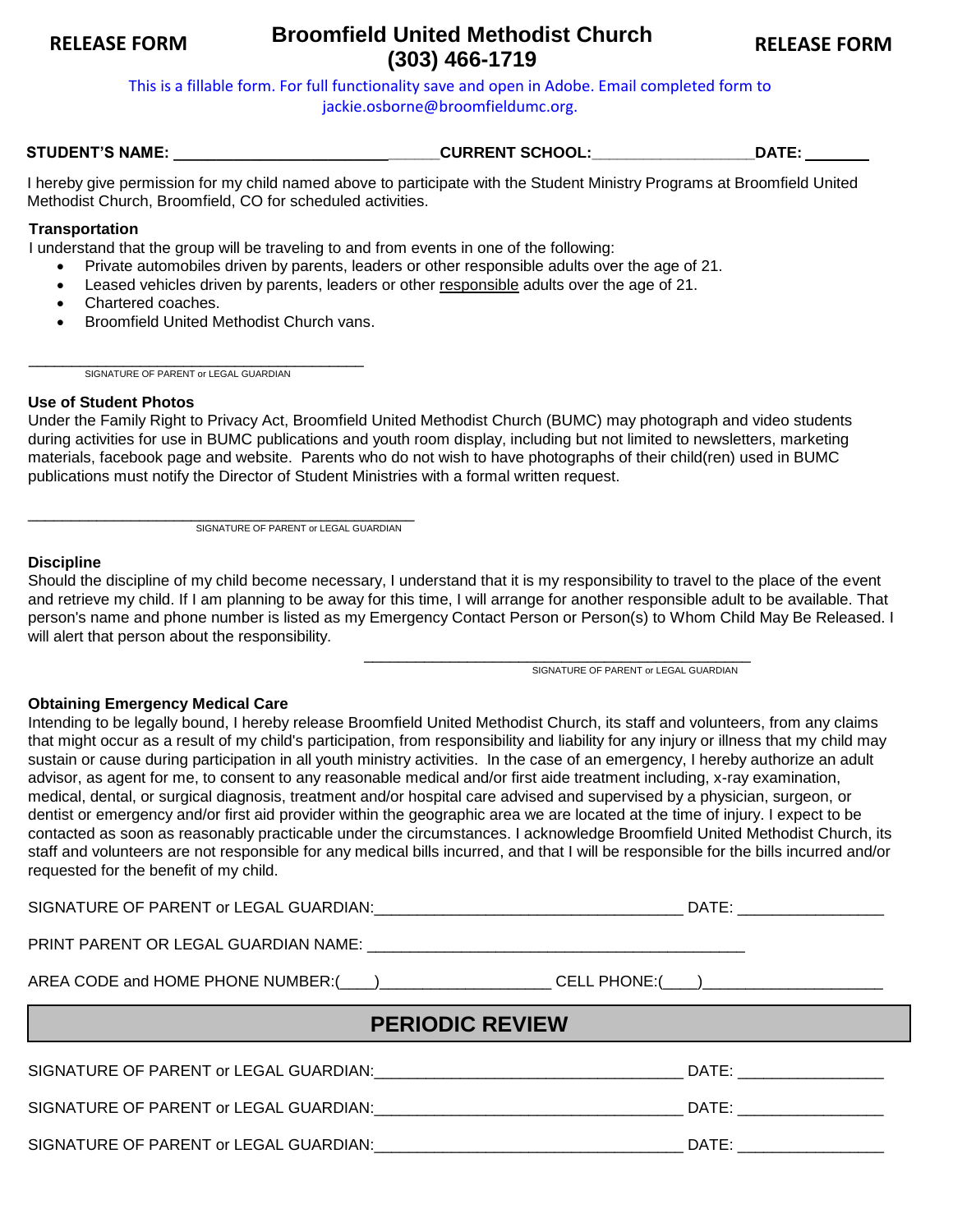# **Broomfield United Methodist Church RELEASE FORM RELEASE FORM (303) 466-1719**

This is a fillable form. For full functionality save and open in Adobe. Email completed form to jackie.osborne@broomfieldumc.org.

**STUDENT'S NAME: \_\_\_\_\_\_\_\_\_\_\_\_\_\_\_\_\_\_\_\_\_\_\_\_\_\_\_\_\_\_\_CURRENT SCHOOL:\_\_\_\_\_\_\_\_\_\_\_\_\_\_\_\_\_\_\_DATE:** 

I hereby give permission for my child named above to participate with the Student Ministry Programs at Broomfield United Methodist Church, Broomfield, CO for scheduled activities.

## **Transportation**

- I understand that the group will be traveling to and from events in one of the following:
	- Private automobiles driven by parents, leaders or other responsible adults over the age of 21.
	- Leased vehicles driven by parents, leaders or other responsible adults over the age of 21.
	- Chartered coaches.
	- Broomfield United Methodist Church vans.

\_\_\_\_\_\_\_\_\_\_\_\_\_\_\_\_\_\_\_\_\_\_\_\_\_\_\_\_\_\_\_\_\_\_\_\_\_\_\_ SIGNATURE OF PARENT or LEGAL GUARDIAN

### **Use of Student Photos**

Under the Family Right to Privacy Act, Broomfield United Methodist Church (BUMC) may photograph and video students during activities for use in BUMC publications and youth room display, including but not limited to newsletters, marketing materials, facebook page and website. Parents who do not wish to have photographs of their child(ren) used in BUMC publications must notify the Director of Student Ministries with a formal written request.

\_\_\_\_\_\_\_\_\_\_\_\_\_\_\_\_\_\_\_\_\_\_\_\_\_\_\_\_\_\_\_\_\_\_\_\_\_\_\_\_\_\_\_\_\_ SIGNATURE OF PARENT or LEGAL GUARDIAN

#### **Discipline**

Should the discipline of my child become necessary, I understand that it is my responsibility to travel to the place of the event and retrieve my child. If I am planning to be away for this time, I will arrange for another responsible adult to be available. That person's name and phone number is listed as my Emergency Contact Person or Person(s) to Whom Child May Be Released. I will alert that person about the responsibility.

> \_\_\_\_\_\_\_\_\_\_\_\_\_\_\_\_\_\_\_\_\_\_\_\_\_\_\_\_\_\_\_\_\_\_\_\_\_\_\_\_\_\_\_\_\_ SIGNATURE OF PARENT or LEGAL GUARDIAN

### **Obtaining Emergency Medical Care**

Intending to be legally bound, I hereby release Broomfield United Methodist Church, its staff and volunteers, from any claims that might occur as a result of my child's participation, from responsibility and liability for any injury or illness that my child may sustain or cause during participation in all youth ministry activities. In the case of an emergency, I hereby authorize an adult advisor, as agent for me, to consent to any reasonable medical and/or first aide treatment including, x-ray examination, medical, dental, or surgical diagnosis, treatment and/or hospital care advised and supervised by a physician, surgeon, or dentist or emergency and/or first aid provider within the geographic area we are located at the time of injury. I expect to be contacted as soon as reasonably practicable under the circumstances. I acknowledge Broomfield United Methodist Church, its staff and volunteers are not responsible for any medical bills incurred, and that I will be responsible for the bills incurred and/or requested for the benefit of my child.

SIGNATURE OF PARENT or LEGAL GUARDIAN:\_\_\_\_\_\_\_\_\_\_\_\_\_\_\_\_\_\_\_\_\_\_\_\_\_\_\_\_\_\_\_\_\_\_\_\_ DATE: \_\_\_\_\_\_\_\_\_\_\_\_\_\_\_\_\_

PRINT PARENT OR LEGAL GUARDIAN NAME: \_\_\_\_\_\_\_\_\_\_\_\_\_\_\_\_\_\_\_\_\_\_\_\_\_\_\_\_\_\_\_\_\_\_\_\_\_\_\_\_\_\_\_\_

AREA CODE and HOME PHONE NUMBER:( ) CELL PHONE:( )

|                                                                                             | <b>PERIODIC REVIEW</b> |
|---------------------------------------------------------------------------------------------|------------------------|
| SIGNATURE OF PARENT or LEGAL GUARDIAN:                                                      | DATE:                  |
| SIGNATURE OF PARENT or LEGAL GUARDIAN: North and the SIGNATURE OF PARENT or LEGAL GUARDIAN: | DATE:                  |
| SIGNATURE OF PARENT or LEGAL GUARDIAN:                                                      | DATE:                  |